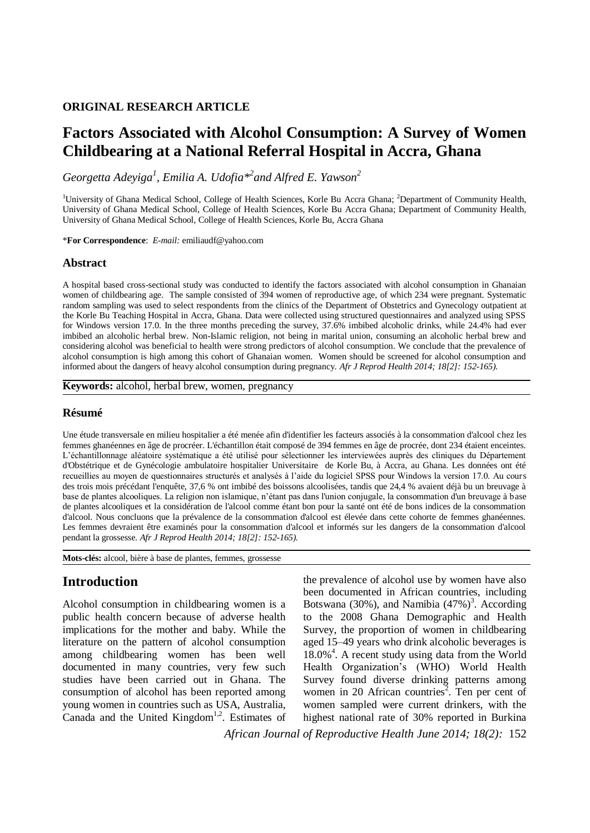# **ORIGINAL RESEARCH ARTICLE**

# **Factors Associated with Alcohol Consumption: A Survey of Women Childbearing at a National Referral Hospital in Accra, Ghana**

*Georgetta Adeyiga<sup>1</sup> , Emilia A. Udofia\* 2 and Alfred E. Yawson<sup>2</sup>*

<sup>1</sup>University of Ghana Medical School, College of Health Sciences, Korle Bu Accra Ghana; <sup>2</sup>Department of Community Health, University of Ghana Medical School, College of Health Sciences, Korle Bu Accra Ghana; Department of Community Health, University of Ghana Medical School, College of Health Sciences, Korle Bu, Accra Ghana

\***For Correspondence**: *E-mail:* emiliaudf@yahoo.com

### **Abstract**

A hospital based cross-sectional study was conducted to identify the factors associated with alcohol consumption in Ghanaian women of childbearing age. The sample consisted of 394 women of reproductive age, of which 234 were pregnant. Systematic random sampling was used to select respondents from the clinics of the Department of Obstetrics and Gynecology outpatient at the Korle Bu Teaching Hospital in Accra, Ghana. Data were collected using structured questionnaires and analyzed using SPSS for Windows version 17.0. In the three months preceding the survey, 37.6% imbibed alcoholic drinks, while 24.4% had ever imbibed an alcoholic herbal brew. Non-Islamic religion, not being in marital union, consuming an alcoholic herbal brew and considering alcohol was beneficial to health were strong predictors of alcohol consumption. We conclude that the prevalence of alcohol consumption is high among this cohort of Ghanaian women. Women should be screened for alcohol consumption and informed about the dangers of heavy alcohol consumption during pregnancy. *Afr J Reprod Health 2014; 18[2]: 152-165).*

**Keywords:** alcohol, herbal brew, women, pregnancy

### **Résumé**

Une étude transversale en milieu hospitalier a été menée afin d'identifier les facteurs associés à la consommation d'alcool chez les femmes ghanéennes en âge de procréer. L'échantillon était composé de 394 femmes en âge de procrée, dont 234 étaient enceintes. L'échantillonnage aléatoire systématique a été utilisé pour sélectionner les interviewées auprès des cliniques du Département d'Obstétrique et de Gynécologie ambulatoire hospitalier Universitaire de Korle Bu, à Accra, au Ghana. Les données ont été recueillies au moyen de questionnaires structurés et analysés à l'aide du logiciel SPSS pour Windows la version 17.0. Au cours des trois mois précédant l'enquête, 37,6 % ont imbibé des boissons alcoolisées, tandis que 24,4 % avaient déjà bu un breuvage à base de plantes alcooliques. La religion non islamique, n'étant pas dans l'union conjugale, la consommation d'un breuvage à base de plantes alcooliques et la considération de l'alcool comme étant bon pour la santé ont été de bons indices de la consommation d'alcool. Nous concluons que la prévalence de la consommation d'alcool est élevée dans cette cohorte de femmes ghanéennes. Les femmes devraient être examinés pour la consommation d'alcool et informés sur les dangers de la consommation d'alcool pendant la grossesse. *Afr J Reprod Health 2014; 18[2]: 152-165).*

**Mots-clés:** alcool, bière à base de plantes, femmes, grossesse

# **Introduction**

Alcohol consumption in childbearing women is a public health concern because of adverse health implications for the mother and baby. While the literature on the pattern of alcohol consumption among childbearing women has been well documented in many countries, very few such studies have been carried out in Ghana. The consumption of alcohol has been reported among young women in countries such as USA, Australia, Canada and the United Kingdom<sup>1,2</sup>. Estimates of the prevalence of alcohol use by women have also been documented in African countries, including Botswana (30%), and Namibia  $(47%)^3$ . According to the 2008 Ghana Demographic and Health Survey, the proportion of women in childbearing aged 15–49 years who drink alcoholic beverages is 18.0%<sup>4</sup>. A recent study using data from the World Health Organization's (WHO) World Health Survey found diverse drinking patterns among women in 20 African countries<sup>2</sup>. Ten per cent of women sampled were current drinkers, with the highest national rate of 30% reported in Burkina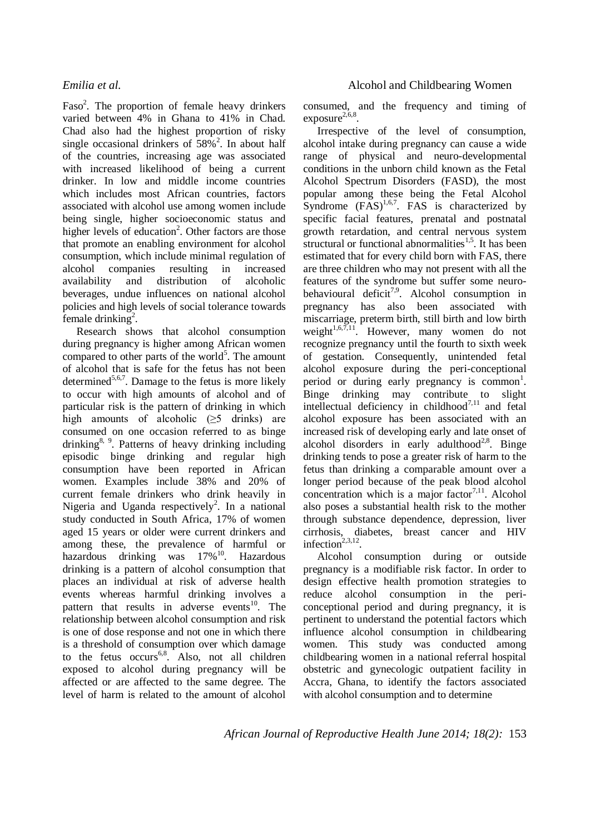Faso<sup>2</sup>. The proportion of female heavy drinkers varied between 4% in Ghana to 41% in Chad. Chad also had the highest proportion of risky single occasional drinkers of  $58\%$ <sup>2</sup>. In about half of the countries, increasing age was associated with increased likelihood of being a current drinker. In low and middle income countries which includes most African countries, factors associated with alcohol use among women include being single, higher socioeconomic status and higher levels of education<sup>2</sup>. Other factors are those that promote an enabling environment for alcohol consumption, which include minimal regulation of alcohol companies resulting in increased availability and distribution of alcoholic beverages, undue influences on national alcohol policies and high levels of social tolerance towards female drinking<sup>2</sup>.

Research shows that alcohol consumption during pregnancy is higher among African women compared to other parts of the world<sup>5</sup>. The amount of alcohol that is safe for the fetus has not been determined<sup>5,6,7</sup>. Damage to the fetus is more likely to occur with high amounts of alcohol and of particular risk is the pattern of drinking in which high amounts of alcoholic  $(\geq 5$  drinks) are consumed on one occasion referred to as binge drinking<sup>8, 9</sup>. Patterns of heavy drinking including episodic binge drinking and regular high consumption have been reported in African women. Examples include 38% and 20% of current female drinkers who drink heavily in Nigeria and Uganda respectively<sup>2</sup>. In a national study conducted in South Africa, 17% of women aged 15 years or older were current drinkers and among these, the prevalence of harmful or hazardous drinking was  $17\%$ <sup>10</sup>. Hazardous drinking is a pattern of alcohol consumption that places an individual at risk of adverse health events whereas harmful drinking involves a pattern that results in adverse events<sup>10</sup>. The relationship between alcohol consumption and risk is one of dose response and not one in which there is a threshold of consumption over which damage to the fetus  $occurs<sup>6,8</sup>$ . Also, not all children exposed to alcohol during pregnancy will be affected or are affected to the same degree. The level of harm is related to the amount of alcohol

consumed, and the frequency and timing of  $exposure^{2,6,8}.$ 

Irrespective of the level of consumption, alcohol intake during pregnancy can cause a wide range of physical and neuro-developmental conditions in the unborn child known as the Fetal Alcohol Spectrum Disorders (FASD), the most popular among these being the Fetal Alcohol Syndrome  $(FAS)^{1,6,7}$ . FAS is characterized by specific facial features, prenatal and postnatal growth retardation, and central nervous system structural or functional abnormalities<sup>1,5</sup>. It has been estimated that for every child born with FAS, there are three children who may not present with all the features of the syndrome but suffer some neurobehavioural deficit<sup>7,9</sup>. Alcohol consumption in pregnancy has also been associated with miscarriage, preterm birth, still birth and low birth weight $1,6,7,11$ . However, many women do not recognize pregnancy until the fourth to sixth week of gestation. Consequently, unintended fetal alcohol exposure during the peri-conceptional period or during early pregnancy is common<sup>1</sup>. Binge drinking may contribute to slight intellectual deficiency in childhood<sup>7,11</sup> and fetal alcohol exposure has been associated with an increased risk of developing early and late onset of alcohol disorders in early adulthood<sup>2,8</sup>. Binge drinking tends to pose a greater risk of harm to the fetus than drinking a comparable amount over a longer period because of the peak blood alcohol concentration which is a major factor<sup>7,11</sup>. Alcohol also poses a substantial health risk to the mother through substance dependence, depression, liver cirrhosis, diabetes, breast cancer and HIV infection<sup>2,3,12</sup>.

Alcohol consumption during or outside pregnancy is a modifiable risk factor. In order to design effective health promotion strategies to reduce alcohol consumption in the periconceptional period and during pregnancy, it is pertinent to understand the potential factors which influence alcohol consumption in childbearing women. This study was conducted among childbearing women in a national referral hospital obstetric and gynecologic outpatient facility in Accra, Ghana, to identify the factors associated with alcohol consumption and to determine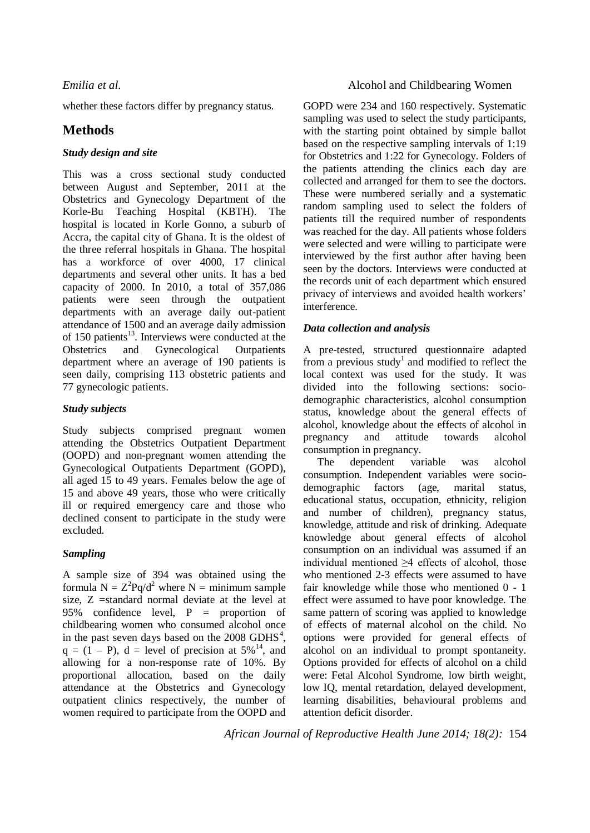whether these factors differ by pregnancy status.

# **Methods**

## *Study design and site*

This was a cross sectional study conducted between August and September, 2011 at the Obstetrics and Gynecology Department of the Korle-Bu Teaching Hospital (KBTH). The hospital is located in Korle Gonno, a suburb of Accra, the capital city of Ghana. It is the oldest of the three referral hospitals in Ghana. The hospital has a workforce of over 4000, 17 clinical departments and several other units. It has a bed capacity of 2000. In 2010, a total of 357,086 patients were seen through the outpatient departments with an average daily out-patient attendance of 1500 and an average daily admission of 150 patients $^{13}$ . Interviews were conducted at the Obstetrics and Gynecological Outpatients department where an average of 190 patients is seen daily, comprising 113 obstetric patients and 77 gynecologic patients.

## *Study subjects*

Study subjects comprised pregnant women attending the Obstetrics Outpatient Department (OOPD) and non-pregnant women attending the Gynecological Outpatients Department (GOPD), all aged 15 to 49 years. Females below the age of 15 and above 49 years, those who were critically ill or required emergency care and those who declined consent to participate in the study were excluded.

# *Sampling*

A sample size of 394 was obtained using the formula  $N = Z^2Pq/d^2$  where  $N =$  minimum sample size, Z =standard normal deviate at the level at 95% confidence level, P = proportion of childbearing women who consumed alcohol once in the past seven days based on the  $2008$  GDHS<sup>4</sup>,  $q = (1 - P)$ ,  $d = level of precision at 5\%^{14}$ , and allowing for a non-response rate of 10%. By proportional allocation, based on the daily attendance at the Obstetrics and Gynecology outpatient clinics respectively, the number of women required to participate from the OOPD and

# *Emilia et al.* Alcohol and Childbearing Women

GOPD were 234 and 160 respectively. Systematic sampling was used to select the study participants, with the starting point obtained by simple ballot based on the respective sampling intervals of 1:19 for Obstetrics and 1:22 for Gynecology. Folders of the patients attending the clinics each day are collected and arranged for them to see the doctors. These were numbered serially and a systematic random sampling used to select the folders of patients till the required number of respondents was reached for the day. All patients whose folders were selected and were willing to participate were interviewed by the first author after having been seen by the doctors. Interviews were conducted at the records unit of each department which ensured privacy of interviews and avoided health workers' interference.

## *Data collection and analysis*

A pre-tested, structured questionnaire adapted from a previous study<sup>1</sup> and modified to reflect the local context was used for the study. It was divided into the following sections: sociodemographic characteristics, alcohol consumption status, knowledge about the general effects of alcohol, knowledge about the effects of alcohol in pregnancy and attitude towards alcohol consumption in pregnancy.

The dependent variable was alcohol consumption. Independent variables were sociodemographic factors (age, marital status, educational status, occupation, ethnicity, religion and number of children), pregnancy status, knowledge, attitude and risk of drinking. Adequate knowledge about general effects of alcohol consumption on an individual was assumed if an individual mentioned ≥4 effects of alcohol, those who mentioned 2-3 effects were assumed to have fair knowledge while those who mentioned 0 - 1 effect were assumed to have poor knowledge. The same pattern of scoring was applied to knowledge of effects of maternal alcohol on the child. No options were provided for general effects of alcohol on an individual to prompt spontaneity. Options provided for effects of alcohol on a child were: Fetal Alcohol Syndrome, low birth weight, low IQ, mental retardation, delayed development, learning disabilities, behavioural problems and attention deficit disorder.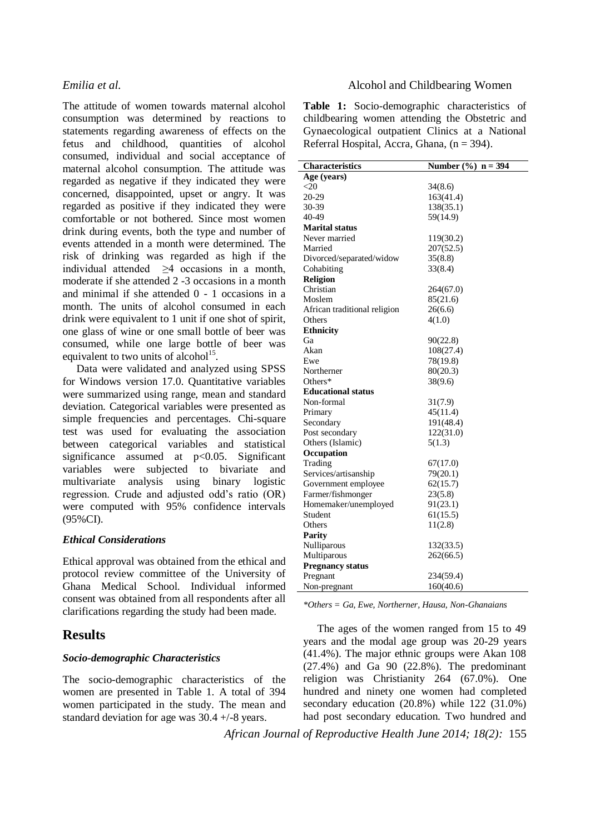The attitude of women towards maternal alcohol consumption was determined by reactions to statements regarding awareness of effects on the fetus and childhood, quantities of alcohol consumed, individual and social acceptance of maternal alcohol consumption. The attitude was regarded as negative if they indicated they were concerned, disappointed, upset or angry. It was regarded as positive if they indicated they were comfortable or not bothered. Since most women drink during events, both the type and number of events attended in a month were determined. The risk of drinking was regarded as high if the individual attended ≥4 occasions in a month, moderate if she attended 2 -3 occasions in a month and minimal if she attended 0 - 1 occasions in a month. The units of alcohol consumed in each drink were equivalent to 1 unit if one shot of spirit, one glass of wine or one small bottle of beer was consumed, while one large bottle of beer was equivalent to two units of alcohol $15$ .

Data were validated and analyzed using SPSS for Windows version 17.0. Quantitative variables were summarized using range, mean and standard deviation. Categorical variables were presented as simple frequencies and percentages. Chi-square test was used for evaluating the association between categorical variables and statistical significance assumed at p<0.05. Significant variables were subjected to bivariate and multivariate analysis using binary logistic regression. Crude and adjusted odd's ratio (OR) were computed with 95% confidence intervals (95%CI).

### *Ethical Considerations*

Ethical approval was obtained from the ethical and protocol review committee of the University of Ghana Medical School. Individual informed consent was obtained from all respondents after all clarifications regarding the study had been made.

# **Results**

### *Socio-demographic Characteristics*

The socio-demographic characteristics of the women are presented in Table 1. A total of 394 women participated in the study. The mean and standard deviation for age was 30.4 +/-8 years.

### *Emilia et al.* Alcohol and Childbearing Women

**Table 1:** Socio-demographic characteristics of childbearing women attending the Obstetric and Gynaecological outpatient Clinics at a National Referral Hospital, Accra, Ghana,  $(n = 394)$ .

| Characteristics              | Number $(\% )$ n = 394 |
|------------------------------|------------------------|
| Age (years)                  |                        |
| $<$ 20                       | 34(8.6)                |
| 20-29                        | 163(41.4)              |
| 30-39                        | 138(35.1)              |
| 40-49                        | 59(14.9)               |
| <b>Marital status</b>        |                        |
| Never married                | 119(30.2)              |
| Married                      | 207(52.5)              |
| Divorced/separated/widow     | 35(8.8)                |
| Cohabiting                   | 33(8.4)                |
| <b>Religion</b>              |                        |
| Christian                    | 264(67.0)              |
| Moslem                       | 85(21.6)               |
| African traditional religion | 26(6.6)                |
| Others                       | 4(1.0)                 |
| <b>Ethnicity</b>             |                        |
| Ga                           | 90(22.8)               |
| Akan                         | 108(27.4)              |
| Ewe                          | 78(19.8)               |
| Northerner                   | 80(20.3)               |
| Others $*$                   | 38(9.6)                |
| <b>Educational status</b>    |                        |
| Non-formal                   | 31(7.9)                |
| Primary                      | 45(11.4)               |
| Secondary                    | 191(48.4)              |
| Post secondary               | 122(31.0)              |
| Others (Islamic)             | 5(1.3)                 |
| Occupation                   |                        |
| Trading                      | 67(17.0)               |
| Services/artisanship         | 79(20.1)               |
| Government employee          | 62(15.7)               |
| Farmer/fishmonger            | 23(5.8)                |
| Homemaker/unemployed         | 91(23.1)               |
| Student                      | 61(15.5)               |
| Others                       | 11(2.8)                |
| <b>Parity</b>                |                        |
| Nulliparous                  | 132(33.5)              |
| Multiparous                  | 262(66.5)              |
| <b>Pregnancy status</b>      |                        |
| Pregnant                     | 234(59.4)              |
| Non-pregnant                 | 160(40.6)              |

*\*Others = Ga, Ewe, Northerner, Hausa, Non-Ghanaians*

The ages of the women ranged from 15 to 49 years and the modal age group was 20-29 years (41.4%). The major ethnic groups were Akan 108 (27.4%) and Ga 90 (22.8%). The predominant religion was Christianity 264 (67.0%). One hundred and ninety one women had completed secondary education (20.8%) while 122 (31.0%) had post secondary education. Two hundred and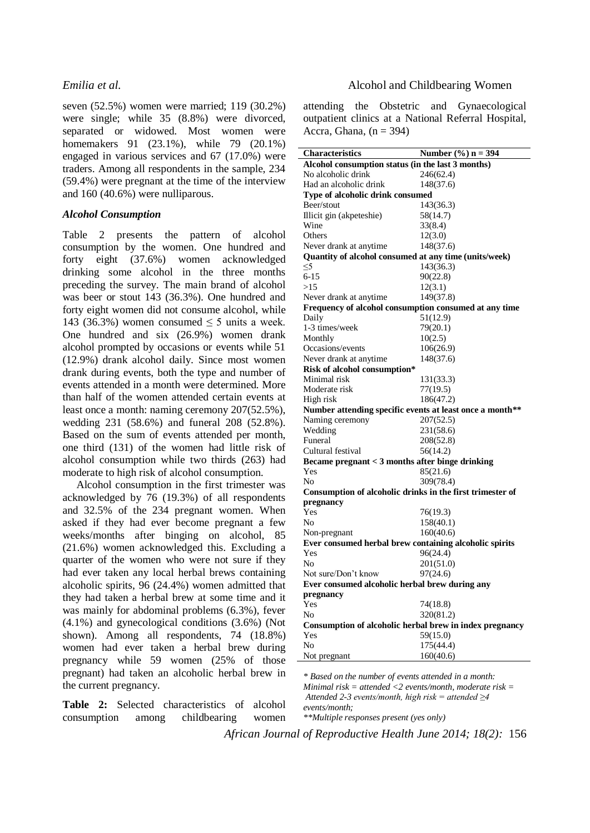seven (52.5%) women were married; 119 (30.2%) were single; while 35 (8.8%) were divorced, separated or widowed. Most women were homemakers 91 (23.1%), while 79 (20.1%) engaged in various services and 67 (17.0%) were traders. Among all respondents in the sample, 234 (59.4%) were pregnant at the time of the interview and 160 (40.6%) were nulliparous.

### *Alcohol Consumption*

Table 2 presents the pattern of alcohol consumption by the women. One hundred and forty eight (37.6%) women acknowledged drinking some alcohol in the three months preceding the survey. The main brand of alcohol was beer or stout 143 (36.3%). One hundred and forty eight women did not consume alcohol, while 143 (36.3%) women consumed  $\leq$  5 units a week. One hundred and six (26.9%) women drank alcohol prompted by occasions or events while 51 (12.9%) drank alcohol daily. Since most women drank during events, both the type and number of events attended in a month were determined. More than half of the women attended certain events at least once a month: naming ceremony 207(52.5%), wedding 231 (58.6%) and funeral 208 (52.8%). Based on the sum of events attended per month, one third (131) of the women had little risk of alcohol consumption while two thirds (263) had moderate to high risk of alcohol consumption.

Alcohol consumption in the first trimester was acknowledged by 76 (19.3%) of all respondents and 32.5% of the 234 pregnant women. When asked if they had ever become pregnant a few weeks/months after binging on alcohol, 85 (21.6%) women acknowledged this. Excluding a quarter of the women who were not sure if they had ever taken any local herbal brews containing alcoholic spirits, 96 (24.4%) women admitted that they had taken a herbal brew at some time and it was mainly for abdominal problems (6.3%), fever (4.1%) and gynecological conditions (3.6%) (Not shown). Among all respondents, 74 (18.8%) women had ever taken a herbal brew during pregnancy while 59 women (25% of those pregnant) had taken an alcoholic herbal brew in the current pregnancy.

**Table 2:** Selected characteristics of alcohol consumption among childbearing women

### *Emilia et al.* Alcohol and Childbearing Women

attending the Obstetric and Gynaecological outpatient clinics at a National Referral Hospital, Accra, Ghana,  $(n = 394)$ 

| <b>Characteristics</b>                                    | Number $(\% ) n = 394$ |  |  |  |
|-----------------------------------------------------------|------------------------|--|--|--|
| Alcohol consumption status (in the last 3 months)         |                        |  |  |  |
| No alcoholic drink                                        | 246(62.4)              |  |  |  |
| Had an alcoholic drink                                    | 148(37.6)              |  |  |  |
| Type of alcoholic drink consumed                          |                        |  |  |  |
| Beer/stout                                                | 143(36.3)              |  |  |  |
| Illicit gin (akpeteshie)                                  | 58(14.7)               |  |  |  |
| Wine                                                      | 33(8.4)                |  |  |  |
| Others                                                    | 12(3.0)                |  |  |  |
| Never drank at anytime                                    | 148(37.6)              |  |  |  |
| Quantity of alcohol consumed at any time (units/week)     |                        |  |  |  |
| <5                                                        | 143(36.3)              |  |  |  |
| $6 - 15$                                                  | 90(22.8)               |  |  |  |
| >15                                                       | 12(3.1)                |  |  |  |
| Never drank at anytime                                    | 149(37.8)              |  |  |  |
| Frequency of alcohol consumption consumed at any time     |                        |  |  |  |
| Daily                                                     | 51(12.9)               |  |  |  |
| 1-3 times/week                                            | 79(20.1)               |  |  |  |
| Monthly                                                   | 10(2.5)                |  |  |  |
| Occasions/events                                          | 106(26.9)              |  |  |  |
| Never drank at anytime                                    | 148(37.6)              |  |  |  |
| Risk of alcohol consumption*                              |                        |  |  |  |
| Minimal risk                                              | 131(33.3)              |  |  |  |
| Moderate risk                                             | 77(19.5)               |  |  |  |
| High risk                                                 | 186(47.2)              |  |  |  |
| Number attending specific events at least once a month**  |                        |  |  |  |
| Naming ceremony                                           | 207(52.5)              |  |  |  |
| Wedding                                                   | 231(58.6)              |  |  |  |
| Funeral                                                   | 208(52.8)              |  |  |  |
| Cultural festival                                         | 56(14.2)               |  |  |  |
| Became pregnant < 3 months after binge drinking           |                        |  |  |  |
| Yes                                                       | 85(21.6)               |  |  |  |
| No                                                        | 309(78.4)              |  |  |  |
| Consumption of alcoholic drinks in the first trimester of |                        |  |  |  |
| pregnancy                                                 |                        |  |  |  |
| Yes                                                       | 76(19.3)               |  |  |  |
| No                                                        | 158(40.1)              |  |  |  |
| Non-pregnant                                              | 160(40.6)              |  |  |  |
| Ever consumed herbal brew containing alcoholic spirits    |                        |  |  |  |
| Yes                                                       | 96(24.4)               |  |  |  |
| No                                                        | 201(51.0)              |  |  |  |
| Not sure/Don't know                                       | 97(24.6)               |  |  |  |
| Ever consumed alcoholic herbal brew during any            |                        |  |  |  |
| pregnancy                                                 |                        |  |  |  |
| Yes                                                       | 74(18.8)               |  |  |  |
| No                                                        | 320(81.2)              |  |  |  |
| Consumption of alcoholic herbal brew in index pregnancy   |                        |  |  |  |
| Yes                                                       | 59(15.0)               |  |  |  |
| No                                                        | 175(44.4)              |  |  |  |
| Not pregnant                                              | 160(40.6)              |  |  |  |

*\* Based on the number of events attended in a month: Minimal risk = attended <2 events/month, moderate risk = Attended 2-3 events/month, high risk = attended ≥4 events/month; \*\*Multiple responses present (yes only)*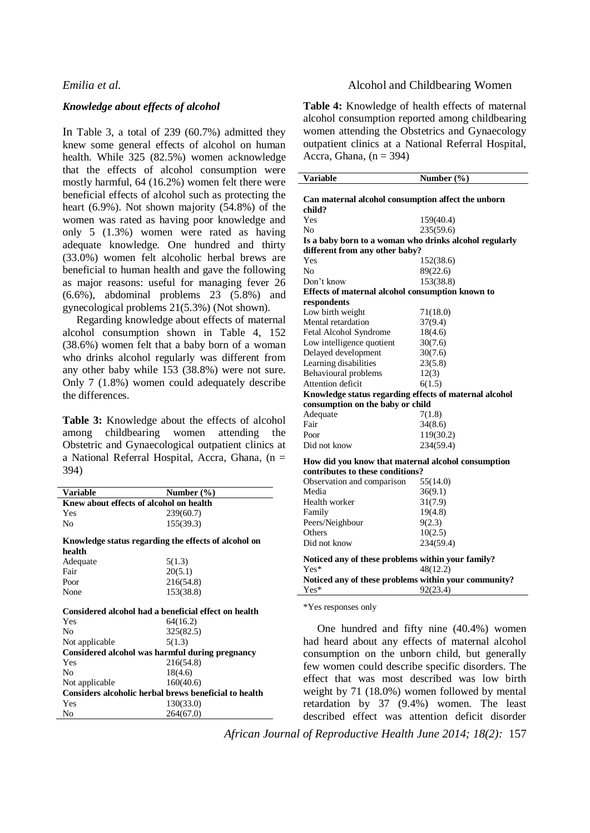### *Knowledge about effects of alcohol*

In Table 3, a total of 239 (60.7%) admitted they knew some general effects of alcohol on human health. While 325 (82.5%) women acknowledge that the effects of alcohol consumption were mostly harmful, 64 (16.2%) women felt there were beneficial effects of alcohol such as protecting the heart (6.9%). Not shown majority (54.8%) of the women was rated as having poor knowledge and only 5 (1.3%) women were rated as having adequate knowledge. One hundred and thirty (33.0%) women felt alcoholic herbal brews are beneficial to human health and gave the following as major reasons: useful for managing fever 26 (6.6%), abdominal problems 23 (5.8%) and gynecological problems 21(5.3%) (Not shown).

Regarding knowledge about effects of maternal alcohol consumption shown in Table 4, 152 (38.6%) women felt that a baby born of a woman who drinks alcohol regularly was different from any other baby while 153 (38.8%) were not sure. Only 7 (1.8%) women could adequately describe the differences.

**Table 3:** Knowledge about the effects of alcohol among childbearing women attending the Obstetric and Gynaecological outpatient clinics at a National Referral Hospital, Accra, Ghana, (n = 394)

| Variable                                              | Number $(\% )$ |  |  |
|-------------------------------------------------------|----------------|--|--|
| Knew about effects of alcohol on health               |                |  |  |
| Yes                                                   | 239(60.7)      |  |  |
| No                                                    | 155(39.3)      |  |  |
| Knowledge status regarding the effects of alcohol on  |                |  |  |
| health                                                |                |  |  |
| Adequate                                              | 5(1.3)         |  |  |
| Fair                                                  | 20(5.1)        |  |  |
| Poor                                                  | 216(54.8)      |  |  |
| None                                                  | 153(38.8)      |  |  |
| Considered alcohol had a beneficial effect on health  |                |  |  |
| Yes                                                   | 64(16.2)       |  |  |
| Nο                                                    | 325(82.5)      |  |  |
| Not applicable                                        | 5(1.3)         |  |  |
| Considered alcohol was harmful during pregnancy       |                |  |  |
| Yes                                                   | 216(54.8)      |  |  |
| No                                                    | 18(4.6)        |  |  |
| Not applicable                                        | 160(40.6)      |  |  |
| Considers alcoholic herbal brews beneficial to health |                |  |  |
| Yes                                                   | 130(33.0)      |  |  |
| No                                                    | 264(67.0)      |  |  |

## *Emilia et al.* Alcohol and Childbearing Women

**Table 4:** Knowledge of health effects of maternal alcohol consumption reported among childbearing women attending the Obstetrics and Gynaecology outpatient clinics at a National Referral Hospital, Accra, Ghana,  $(n = 394)$ 

| Variable                                                                | Number (%) |  |  |
|-------------------------------------------------------------------------|------------|--|--|
| Can maternal alcohol consumption affect the unborn<br>child?            |            |  |  |
| Yes                                                                     | 159(40.4)  |  |  |
| No                                                                      | 235(59.6)  |  |  |
| Is a baby born to a woman who drinks alcohol regularly                  |            |  |  |
| different from any other baby?                                          |            |  |  |
| Yes                                                                     | 152(38.6)  |  |  |
| No                                                                      | 89(22.6)   |  |  |
| Don't know                                                              | 153(38.8)  |  |  |
| Effects of maternal alcohol consumption known to                        |            |  |  |
| respondents                                                             |            |  |  |
| Low birth weight                                                        | 71(18.0)   |  |  |
| Mental retardation                                                      | 37(9.4)    |  |  |
| Fetal Alcohol Syndrome                                                  | 18(4.6)    |  |  |
| Low intelligence quotient                                               | 30(7.6)    |  |  |
| Delayed development                                                     | 30(7.6)    |  |  |
| Learning disabilities                                                   | 23(5.8)    |  |  |
| Behavioural problems                                                    | 12(3)      |  |  |
| Attention deficit                                                       | 6(1.5)     |  |  |
| Knowledge status regarding effects of maternal alcohol                  |            |  |  |
| consumption on the baby or child                                        |            |  |  |
| Adequate                                                                | 7(1.8)     |  |  |
| Fair                                                                    | 34(8.6)    |  |  |
| Poor                                                                    | 119(30.2)  |  |  |
| Did not know                                                            | 234(59.4)  |  |  |
| How did you know that maternal alcohol consumption                      |            |  |  |
| contributes to these conditions?                                        |            |  |  |
| Observation and comparison                                              | 55(14.0)   |  |  |
| Media                                                                   | 36(9.1)    |  |  |
| Health worker                                                           | 31(7.9)    |  |  |
| Family                                                                  | 19(4.8)    |  |  |
| Peers/Neighbour                                                         | 9(2.3)     |  |  |
| Others                                                                  | 10(2.5)    |  |  |
| Did not know                                                            | 234(59.4)  |  |  |
| Noticed any of these problems within your family?<br>$Yes*$<br>48(12.2) |            |  |  |
| Noticed any of these problems within your community?                    |            |  |  |
| $Yes*$                                                                  | 92(23.4)   |  |  |
|                                                                         |            |  |  |

\*Yes responses only

One hundred and fifty nine (40.4%) women had heard about any effects of maternal alcohol consumption on the unborn child, but generally few women could describe specific disorders. The effect that was most described was low birth weight by 71 (18.0%) women followed by mental retardation by 37 (9.4%) women. The least described effect was attention deficit disorder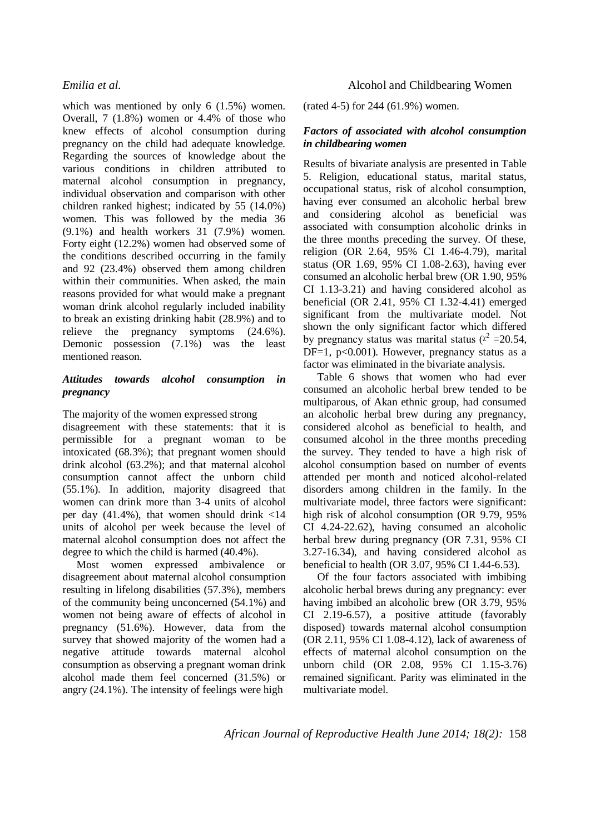which was mentioned by only 6 (1.5%) women. Overall, 7 (1.8%) women or 4.4% of those who knew effects of alcohol consumption during pregnancy on the child had adequate knowledge. Regarding the sources of knowledge about the various conditions in children attributed to maternal alcohol consumption in pregnancy, individual observation and comparison with other children ranked highest; indicated by 55 (14.0%) women. This was followed by the media 36 (9.1%) and health workers 31 (7.9%) women. Forty eight (12.2%) women had observed some of the conditions described occurring in the family and 92 (23.4%) observed them among children within their communities. When asked, the main reasons provided for what would make a pregnant woman drink alcohol regularly included inability to break an existing drinking habit (28.9%) and to relieve the pregnancy symptoms (24.6%). Demonic possession (7.1%) was the least mentioned reason.

### *Attitudes towards alcohol consumption in pregnancy*

The majority of the women expressed strong disagreement with these statements: that it is permissible for a pregnant woman to be intoxicated (68.3%); that pregnant women should drink alcohol (63.2%); and that maternal alcohol consumption cannot affect the unborn child (55.1%). In addition, majority disagreed that women can drink more than 3-4 units of alcohol per day  $(41.4\%)$ , that women should drink  $\langle 14 \rangle$ units of alcohol per week because the level of maternal alcohol consumption does not affect the degree to which the child is harmed (40.4%).

Most women expressed ambivalence or disagreement about maternal alcohol consumption resulting in lifelong disabilities (57.3%), members of the community being unconcerned (54.1%) and women not being aware of effects of alcohol in pregnancy (51.6%). However, data from the survey that showed majority of the women had a negative attitude towards maternal alcohol consumption as observing a pregnant woman drink alcohol made them feel concerned (31.5%) or angry (24.1%). The intensity of feelings were high

## *Emilia et al.* Alcohol and Childbearing Women

(rated 4-5) for 244 (61.9%) women.

### *Factors of associated with alcohol consumption in childbearing women*

Results of bivariate analysis are presented in Table 5. Religion, educational status, marital status, occupational status, risk of alcohol consumption, having ever consumed an alcoholic herbal brew and considering alcohol as beneficial was associated with consumption alcoholic drinks in the three months preceding the survey. Of these, religion (OR 2.64, 95% CI 1.46-4.79), marital status (OR 1.69, 95% CI 1.08-2.63), having ever consumed an alcoholic herbal brew (OR 1.90, 95% CI 1.13-3.21) and having considered alcohol as beneficial (OR 2.41, 95% CI 1.32-4.41) emerged significant from the multivariate model. Not shown the only significant factor which differed by pregnancy status was marital status ( $x^2 = 20.54$ , DF=1,  $p<0.001$ ). However, pregnancy status as a factor was eliminated in the bivariate analysis.

Table 6 shows that women who had ever consumed an alcoholic herbal brew tended to be multiparous, of Akan ethnic group, had consumed an alcoholic herbal brew during any pregnancy, considered alcohol as beneficial to health, and consumed alcohol in the three months preceding the survey. They tended to have a high risk of alcohol consumption based on number of events attended per month and noticed alcohol-related disorders among children in the family. In the multivariate model, three factors were significant: high risk of alcohol consumption (OR 9.79, 95% CI 4.24-22.62), having consumed an alcoholic herbal brew during pregnancy (OR 7.31, 95% CI 3.27-16.34), and having considered alcohol as beneficial to health (OR 3.07, 95% CI 1.44-6.53).

Of the four factors associated with imbibing alcoholic herbal brews during any pregnancy: ever having imbibed an alcoholic brew (OR 3.79, 95% CI 2.19-6.57), a positive attitude (favorably disposed) towards maternal alcohol consumption (OR 2.11, 95% CI 1.08-4.12), lack of awareness of effects of maternal alcohol consumption on the unborn child (OR 2.08, 95% CI 1.15-3.76) remained significant. Parity was eliminated in the multivariate model.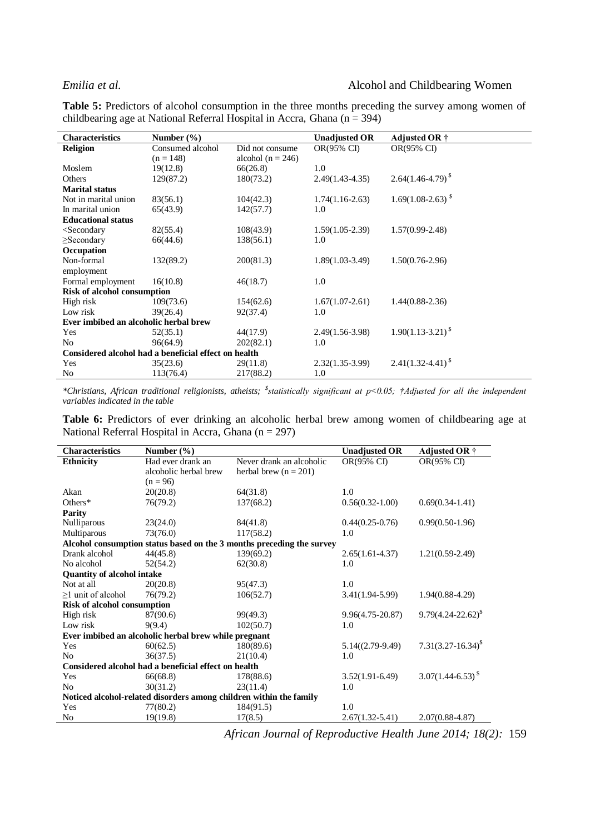## *Emilia et al.* Alcohol and Childbearing Women

**Table 5:** Predictors of alcohol consumption in the three months preceding the survey among women of childbearing age at National Referral Hospital in Accra, Ghana ( $n = 394$ )

| <b>Characteristics</b>                                                                                                                         | Number $(\% )$   |                       | <b>Unadjusted OR</b> | Adjusted OR †           |
|------------------------------------------------------------------------------------------------------------------------------------------------|------------------|-----------------------|----------------------|-------------------------|
| <b>Religion</b>                                                                                                                                | Consumed alcohol | Did not consume       | OR(95% CI)           | OR(95% CI)              |
|                                                                                                                                                | $(n = 148)$      | alcohol ( $n = 246$ ) |                      |                         |
| Moslem                                                                                                                                         | 19(12.8)         | 66(26.8)              | 1.0                  |                         |
| Others                                                                                                                                         | 129(87.2)        | 180(73.2)             | $2.49(1.43-4.35)$    | $2.64(1.46 - 4.79)^{8}$ |
| <b>Marital status</b>                                                                                                                          |                  |                       |                      |                         |
| Not in marital union                                                                                                                           | 83(56.1)         | 104(42.3)             | $1.74(1.16-2.63)$    | $1.69(1.08-2.63)^{S}$   |
| In marital union                                                                                                                               | 65(43.9)         | 142(57.7)             | 1.0                  |                         |
| <b>Educational status</b>                                                                                                                      |                  |                       |                      |                         |
| <secondary< td=""><td>82(55.4)</td><td>108(43.9)</td><td><math>1.59(1.05-2.39)</math></td><td><math>1.57(0.99 - 2.48)</math></td></secondary<> | 82(55.4)         | 108(43.9)             | $1.59(1.05-2.39)$    | $1.57(0.99 - 2.48)$     |
| $\geq$ Secondary                                                                                                                               | 66(44.6)         | 138(56.1)             | 1.0                  |                         |
| Occupation                                                                                                                                     |                  |                       |                      |                         |
| Non-formal                                                                                                                                     | 132(89.2)        | 200(81.3)             | $1.89(1.03-3.49)$    | $1.50(0.76-2.96)$       |
| employment                                                                                                                                     |                  |                       |                      |                         |
| Formal employment                                                                                                                              | 16(10.8)         | 46(18.7)              | 1.0                  |                         |
| <b>Risk of alcohol consumption</b>                                                                                                             |                  |                       |                      |                         |
| High risk                                                                                                                                      | 109(73.6)        | 154(62.6)             | $1.67(1.07-2.61)$    | $1.44(0.88-2.36)$       |
| Low risk                                                                                                                                       | 39(26.4)         | 92(37.4)              | 1.0                  |                         |
| Ever imbibed an alcoholic herbal brew                                                                                                          |                  |                       |                      |                         |
| Yes                                                                                                                                            | 52(35.1)         | 44(17.9)              | $2.49(1.56-3.98)$    | $1.90(1.13-3.21)^{S}$   |
| No                                                                                                                                             | 96(64.9)         | 202(82.1)             | 1.0                  |                         |
| Considered alcohol had a beneficial effect on health                                                                                           |                  |                       |                      |                         |
| Yes                                                                                                                                            | 35(23.6)         | 29(11.8)              | $2.32(1.35-3.99)$    | $2.41(1.32 - 4.41)^{S}$ |
| No                                                                                                                                             | 113(76.4)        | 217(88.2)             | 1.0                  |                         |

*\*Christians, African traditional religionists, atheists; \$ statistically significant at p<0.05; †Adjusted for all the independent variables indicated in the table*

**Table 6:** Predictors of ever drinking an alcoholic herbal brew among women of childbearing age at National Referral Hospital in Accra, Ghana ( $n = 297$ )

| <b>Characteristics</b>                                             | Number $(\% )$        |                                                                       | <b>Unadjusted OR</b> | <b>Adjusted OR †</b>     |  |
|--------------------------------------------------------------------|-----------------------|-----------------------------------------------------------------------|----------------------|--------------------------|--|
| <b>Ethnicity</b>                                                   | Had ever drank an     | Never drank an alcoholic                                              | OR(95% CI)           | OR(95% CI)               |  |
|                                                                    | alcoholic herbal brew | herbal brew ( $n = 201$ )                                             |                      |                          |  |
|                                                                    | $(n = 96)$            |                                                                       |                      |                          |  |
| Akan                                                               | 20(20.8)              | 64(31.8)                                                              | 1.0                  |                          |  |
| Others $*$                                                         | 76(79.2)              | 137(68.2)                                                             | $0.56(0.32-1.00)$    | $0.69(0.34-1.41)$        |  |
| <b>Parity</b>                                                      |                       |                                                                       |                      |                          |  |
| Nulliparous                                                        | 23(24.0)              | 84(41.8)                                                              | $0.44(0.25-0.76)$    | $0.99(0.50-1.96)$        |  |
| Multiparous                                                        | 73(76.0)              | 117(58.2)                                                             | 1.0                  |                          |  |
|                                                                    |                       | Alcohol consumption status based on the 3 months preceding the survey |                      |                          |  |
| Drank alcohol                                                      | 44(45.8)              | 139(69.2)                                                             | $2.65(1.61-4.37)$    | $1.21(0.59-2.49)$        |  |
| No alcohol                                                         | 52(54.2)              | 62(30.8)                                                              | 1.0                  |                          |  |
| <b>Quantity of alcohol intake</b>                                  |                       |                                                                       |                      |                          |  |
| Not at all                                                         | 20(20.8)              | 95(47.3)                                                              | 1.0                  |                          |  |
| $\geq$ 1 unit of alcohol                                           | 76(79.2)              | 106(52.7)                                                             | $3.41(1.94-5.99)$    | $1.94(0.88-4.29)$        |  |
| <b>Risk of alcohol consumption</b>                                 |                       |                                                                       |                      |                          |  |
| High risk                                                          | 87(90.6)              | 99(49.3)                                                              | $9.96(4.75 - 20.87)$ | $9.79(4.24 - 22.62)^{8}$ |  |
| Low risk                                                           | 9(9.4)                | 102(50.7)                                                             | 1.0                  |                          |  |
| Ever imbibed an alcoholic herbal brew while pregnant               |                       |                                                                       |                      |                          |  |
| Yes                                                                | 60(62.5)              | 180(89.6)                                                             | $5.14((2.79-9.49)$   | $7.31(3.27-16.34)^{S}$   |  |
| N <sub>0</sub>                                                     | 36(37.5)              | 21(10.4)                                                              | 1.0                  |                          |  |
| Considered alcohol had a beneficial effect on health               |                       |                                                                       |                      |                          |  |
| Yes                                                                | 66(68.8)              | 178(88.6)                                                             | $3.52(1.91-6.49)$    | $3.07(1.44 - 6.53)^{S}$  |  |
| N <sub>0</sub>                                                     | 30(31.2)              | 23(11.4)                                                              | 1.0                  |                          |  |
| Noticed alcohol-related disorders among children within the family |                       |                                                                       |                      |                          |  |
| Yes                                                                | 77(80.2)              | 184(91.5)                                                             | 1.0                  |                          |  |
| N <sub>0</sub>                                                     | 19(19.8)              | 17(8.5)                                                               | $2.67(1.32 - 5.41)$  | $2.07(0.88 - 4.87)$      |  |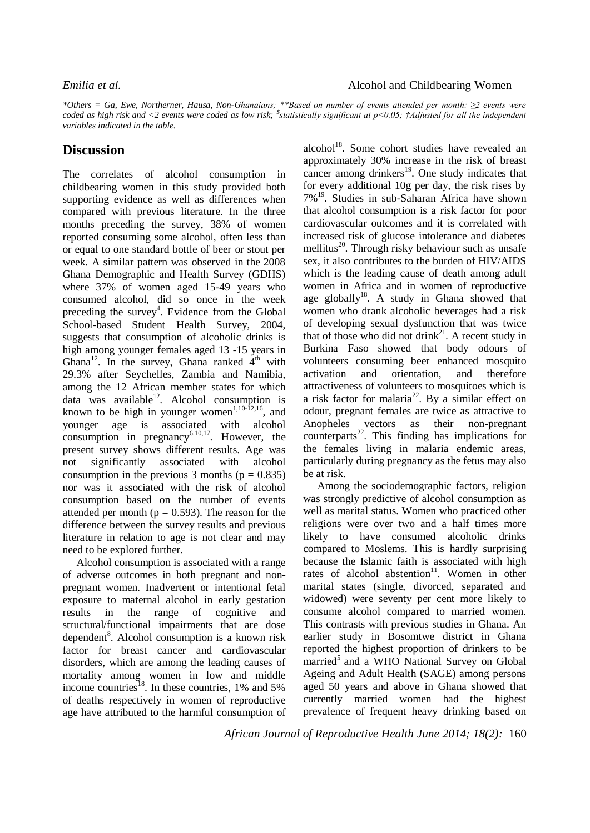*\*Others = Ga, Ewe, Northerner, Hausa, Non-Ghanaians; \*\*Based on number of events attended per month: ≥2 events were coded as high risk and <2 events were coded as low risk; \$ statistically significant at p<0.05; †Adjusted for all the independent variables indicated in the table.*

# **Discussion**

The correlates of alcohol consumption in childbearing women in this study provided both supporting evidence as well as differences when compared with previous literature. In the three months preceding the survey, 38% of women reported consuming some alcohol, often less than or equal to one standard bottle of beer or stout per week. A similar pattern was observed in the 2008 Ghana Demographic and Health Survey (GDHS) where 37% of women aged 15-49 years who consumed alcohol, did so once in the week preceding the survey<sup>4</sup>. Evidence from the Global School-based Student Health Survey, 2004, suggests that consumption of alcoholic drinks is high among younger females aged 13 -15 years in Ghana<sup>12</sup>. In the survey, Ghana ranked  $4<sup>th</sup>$  with 29.3% after Seychelles, Zambia and Namibia, among the 12 African member states for which data was available<sup>12</sup>. Alcohol consumption is known to be high in younger women<sup>1,10-12,16</sup>, and younger age is associated with alcohol consumption in pregnancy $6,10,17$ . However, the present survey shows different results. Age was not significantly associated with alcohol consumption in the previous 3 months ( $p = 0.835$ ) nor was it associated with the risk of alcohol consumption based on the number of events attended per month ( $p = 0.593$ ). The reason for the difference between the survey results and previous literature in relation to age is not clear and may need to be explored further.

Alcohol consumption is associated with a range of adverse outcomes in both pregnant and nonpregnant women. Inadvertent or intentional fetal exposure to maternal alcohol in early gestation results in the range of cognitive and structural/functional impairments that are dose dependent<sup>8</sup>. Alcohol consumption is a known risk factor for breast cancer and cardiovascular disorders, which are among the leading causes of mortality among women in low and middle income countries<sup>18</sup>. In these countries, 1% and 5% of deaths respectively in women of reproductive age have attributed to the harmful consumption of

alcohol<sup>18</sup>. Some cohort studies have revealed an approximately 30% increase in the risk of breast cancer among drinkers<sup>19</sup>. One study indicates that for every additional 10g per day, the risk rises by 7%<sup>19</sup>. Studies in sub-Saharan Africa have shown that alcohol consumption is a risk factor for poor cardiovascular outcomes and it is correlated with increased risk of glucose intolerance and diabetes mellitus<sup>20</sup>. Through risky behaviour such as unsafe sex, it also contributes to the burden of HIV/AIDS which is the leading cause of death among adult women in Africa and in women of reproductive age globally<sup>18</sup>. A study in Ghana showed that women who drank alcoholic beverages had a risk of developing sexual dysfunction that was twice that of those who did not drink<sup>21</sup>. A recent study in Burkina Faso showed that body odours of volunteers consuming beer enhanced mosquito activation and orientation, and therefore attractiveness of volunteers to mosquitoes which is a risk factor for malaria<sup>22</sup>. By a similar effect on odour, pregnant females are twice as attractive to Anopheles vectors as their non-pregnant  $counterparts<sup>22</sup>$ . This finding has implications for the females living in malaria endemic areas, particularly during pregnancy as the fetus may also be at risk.

Among the sociodemographic factors, religion was strongly predictive of alcohol consumption as well as marital status. Women who practiced other religions were over two and a half times more likely to have consumed alcoholic drinks compared to Moslems. This is hardly surprising because the Islamic faith is associated with high rates of alcohol abstention<sup>11</sup>. Women in other marital states (single, divorced, separated and widowed) were seventy per cent more likely to consume alcohol compared to married women. This contrasts with previous studies in Ghana. An earlier study in Bosomtwe district in Ghana reported the highest proportion of drinkers to be married<sup>5</sup> and a WHO National Survey on Global Ageing and Adult Health (SAGE) among persons aged 50 years and above in Ghana showed that currently married women had the highest prevalence of frequent heavy drinking based on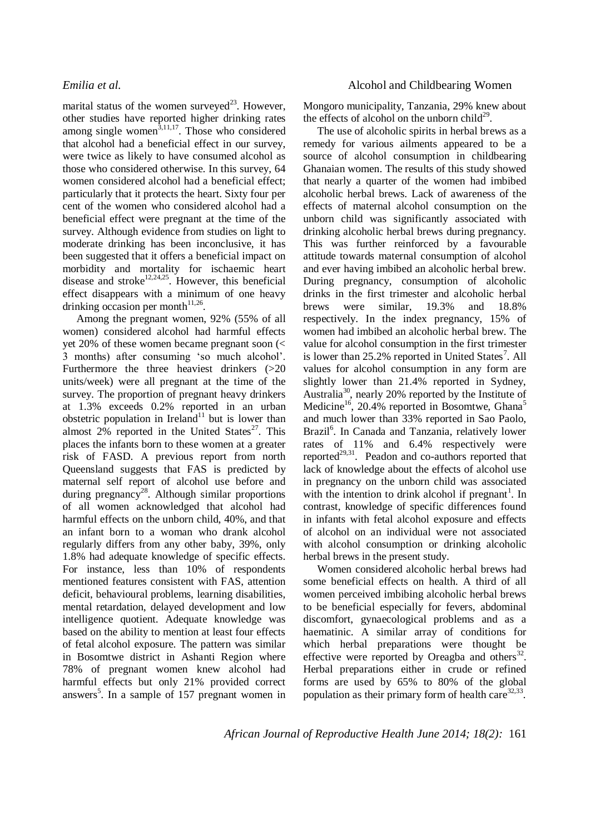marital status of the women surveyed<sup>23</sup>. However, other studies have reported higher drinking rates among single women $\frac{3,11,17}{2}$ . Those who considered that alcohol had a beneficial effect in our survey, were twice as likely to have consumed alcohol as those who considered otherwise. In this survey, 64 women considered alcohol had a beneficial effect; particularly that it protects the heart. Sixty four per cent of the women who considered alcohol had a beneficial effect were pregnant at the time of the survey. Although evidence from studies on light to moderate drinking has been inconclusive, it has been suggested that it offers a beneficial impact on morbidity and mortality for ischaemic heart disease and stroke<sup>12,24,25</sup>. However, this beneficial effect disappears with a minimum of one heavy drinking occasion per month $11,26$ .

Among the pregnant women, 92% (55% of all women) considered alcohol had harmful effects yet 20% of these women became pregnant soon (< 3 months) after consuming 'so much alcohol'. Furthermore the three heaviest drinkers (>20 units/week) were all pregnant at the time of the survey. The proportion of pregnant heavy drinkers at 1.3% exceeds 0.2% reported in an urban obstetric population in Ireland<sup>11</sup> but is lower than almost  $2\%$  reported in the United States<sup>27</sup>. This places the infants born to these women at a greater risk of FASD. A previous report from north Queensland suggests that FAS is predicted by maternal self report of alcohol use before and during pregnancy<sup>28</sup>. Although similar proportions of all women acknowledged that alcohol had harmful effects on the unborn child, 40%, and that an infant born to a woman who drank alcohol regularly differs from any other baby, 39%, only 1.8% had adequate knowledge of specific effects. For instance, less than 10% of respondents mentioned features consistent with FAS, attention deficit, behavioural problems, learning disabilities, mental retardation, delayed development and low intelligence quotient. Adequate knowledge was based on the ability to mention at least four effects of fetal alcohol exposure. The pattern was similar in Bosomtwe district in Ashanti Region where 78% of pregnant women knew alcohol had harmful effects but only 21% provided correct answers<sup>5</sup>. In a sample of 157 pregnant women in Mongoro municipality, Tanzania, 29% knew about the effects of alcohol on the unborn child<sup>29</sup>.

The use of alcoholic spirits in herbal brews as a remedy for various ailments appeared to be a source of alcohol consumption in childbearing Ghanaian women. The results of this study showed that nearly a quarter of the women had imbibed alcoholic herbal brews. Lack of awareness of the effects of maternal alcohol consumption on the unborn child was significantly associated with drinking alcoholic herbal brews during pregnancy. This was further reinforced by a favourable attitude towards maternal consumption of alcohol and ever having imbibed an alcoholic herbal brew. During pregnancy, consumption of alcoholic drinks in the first trimester and alcoholic herbal brews were similar, 19.3% and 18.8% respectively. In the index pregnancy, 15% of women had imbibed an alcoholic herbal brew. The value for alcohol consumption in the first trimester is lower than  $25.2\%$  reported in United States<sup>7</sup>. All values for alcohol consumption in any form are slightly lower than 21.4% reported in Sydney, Australia<sup>30</sup>, nearly 20% reported by the Institute of Medicine<sup>16</sup>, 20.4% reported in Bosomtwe, Ghana<sup>5</sup> and much lower than 33% reported in Sao Paolo, Brazil<sup>6</sup>. In Canada and Tanzania, relatively lower rates of 11% and 6.4% respectively were reported $2^{9,31}$ . Peadon and co-authors reported that lack of knowledge about the effects of alcohol use in pregnancy on the unborn child was associated with the intention to drink alcohol if pregnant<sup>1</sup>. In contrast, knowledge of specific differences found in infants with fetal alcohol exposure and effects of alcohol on an individual were not associated with alcohol consumption or drinking alcoholic herbal brews in the present study.

Women considered alcoholic herbal brews had some beneficial effects on health. A third of all women perceived imbibing alcoholic herbal brews to be beneficial especially for fevers, abdominal discomfort, gynaecological problems and as a haematinic. A similar array of conditions for which herbal preparations were thought be effective were reported by Oreagba and others $^{32}$ . Herbal preparations either in crude or refined forms are used by 65% to 80% of the global population as their primary form of health care $32,33$ .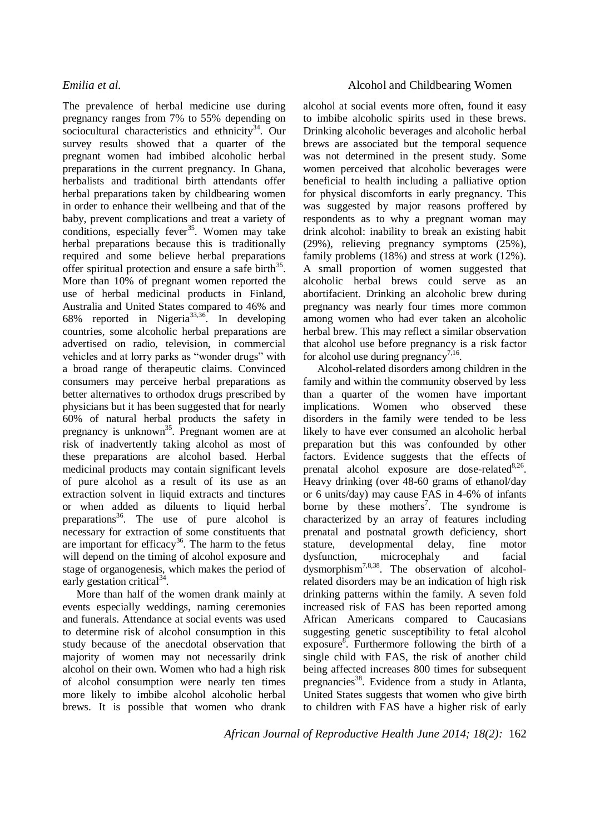The prevalence of herbal medicine use during pregnancy ranges from 7% to 55% depending on sociocultural characteristics and ethnicity $34$ . Our survey results showed that a quarter of the pregnant women had imbibed alcoholic herbal preparations in the current pregnancy. In Ghana, herbalists and traditional birth attendants offer herbal preparations taken by childbearing women in order to enhance their wellbeing and that of the baby, prevent complications and treat a variety of conditions, especially fever<sup>35</sup>. Women may take herbal preparations because this is traditionally required and some believe herbal preparations offer spiritual protection and ensure a safe birth<sup>35</sup>. More than 10% of pregnant women reported the use of herbal medicinal products in Finland, Australia and United States compared to 46% and 68% reported in Nigeria<sup>33,36</sup>. In developing countries, some alcoholic herbal preparations are advertised on radio, television, in commercial vehicles and at lorry parks as "wonder drugs" with a broad range of therapeutic claims. Convinced consumers may perceive herbal preparations as better alternatives to orthodox drugs prescribed by physicians but it has been suggested that for nearly 60% of natural herbal products the safety in pregnancy is unknown<sup>35</sup>. Pregnant women are at risk of inadvertently taking alcohol as most of these preparations are alcohol based. Herbal medicinal products may contain significant levels of pure alcohol as a result of its use as an extraction solvent in liquid extracts and tinctures or when added as diluents to liquid herbal preparations<sup>36</sup>. The use of pure alcohol is necessary for extraction of some constituents that are important for efficacy<sup>36</sup>. The harm to the fetus will depend on the timing of alcohol exposure and stage of organogenesis, which makes the period of early gestation critical<sup>34</sup>.

More than half of the women drank mainly at events especially weddings, naming ceremonies and funerals. Attendance at social events was used to determine risk of alcohol consumption in this study because of the anecdotal observation that majority of women may not necessarily drink alcohol on their own. Women who had a high risk of alcohol consumption were nearly ten times more likely to imbibe alcohol alcoholic herbal brews. It is possible that women who drank

# *Emilia et al.* Alcohol and Childbearing Women

alcohol at social events more often, found it easy to imbibe alcoholic spirits used in these brews. Drinking alcoholic beverages and alcoholic herbal brews are associated but the temporal sequence was not determined in the present study. Some women perceived that alcoholic beverages were beneficial to health including a palliative option for physical discomforts in early pregnancy. This was suggested by major reasons proffered by respondents as to why a pregnant woman may drink alcohol: inability to break an existing habit (29%), relieving pregnancy symptoms (25%), family problems (18%) and stress at work (12%). A small proportion of women suggested that alcoholic herbal brews could serve as an abortifacient. Drinking an alcoholic brew during pregnancy was nearly four times more common among women who had ever taken an alcoholic herbal brew. This may reflect a similar observation that alcohol use before pregnancy is a risk factor for alcohol use during pregnancy<sup>7,16</sup>.

Alcohol-related disorders among children in the family and within the community observed by less than a quarter of the women have important implications. Women who observed these disorders in the family were tended to be less likely to have ever consumed an alcoholic herbal preparation but this was confounded by other factors. Evidence suggests that the effects of prenatal alcohol exposure are dose-related $8,26$ . Heavy drinking (over 48-60 grams of ethanol/day or 6 units/day) may cause FAS in 4-6% of infants borne by these mothers<sup>7</sup>. The syndrome is characterized by an array of features including prenatal and postnatal growth deficiency, short stature, developmental delay, fine motor dysfunction, microcephaly and facial  $d$ ysmorphism<sup>7,8,38</sup>. The observation of alcoholrelated disorders may be an indication of high risk drinking patterns within the family. A seven fold increased risk of FAS has been reported among African Americans compared to Caucasians suggesting genetic susceptibility to fetal alcohol exposure<sup>8</sup>. Furthermore following the birth of a single child with FAS, the risk of another child being affected increases 800 times for subsequent pregnancies<sup>38</sup>. Evidence from a study in Atlanta, United States suggests that women who give birth to children with FAS have a higher risk of early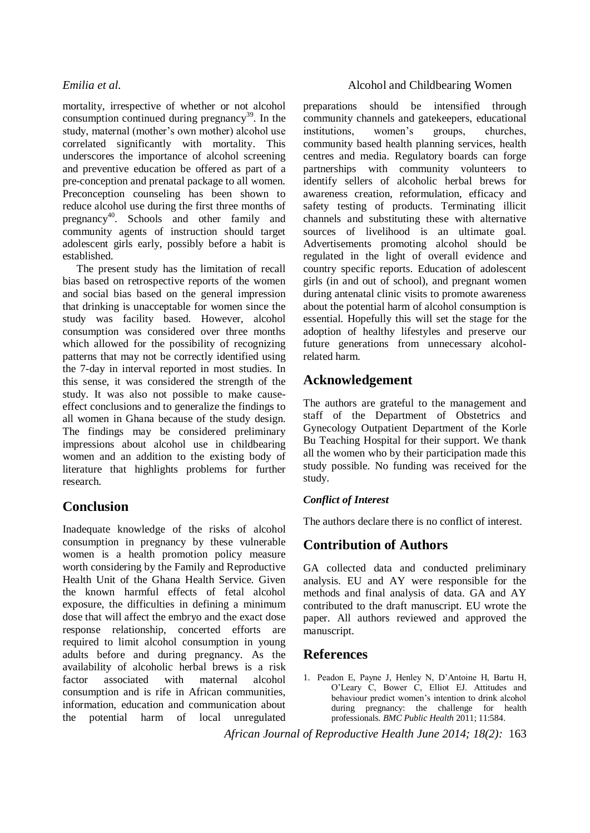mortality, irrespective of whether or not alcohol consumption continued during pregnancy<sup>39</sup>. In the study, maternal (mother's own mother) alcohol use correlated significantly with mortality. This underscores the importance of alcohol screening and preventive education be offered as part of a pre-conception and prenatal package to all women. Preconception counseling has been shown to reduce alcohol use during the first three months of pregnancy<sup>40</sup>. Schools and other family and community agents of instruction should target adolescent girls early, possibly before a habit is established.

The present study has the limitation of recall bias based on retrospective reports of the women and social bias based on the general impression that drinking is unacceptable for women since the study was facility based. However, alcohol consumption was considered over three months which allowed for the possibility of recognizing patterns that may not be correctly identified using the 7-day in interval reported in most studies. In this sense, it was considered the strength of the study. It was also not possible to make causeeffect conclusions and to generalize the findings to all women in Ghana because of the study design. The findings may be considered preliminary impressions about alcohol use in childbearing women and an addition to the existing body of literature that highlights problems for further research.

# **Conclusion**

Inadequate knowledge of the risks of alcohol consumption in pregnancy by these vulnerable women is a health promotion policy measure worth considering by the Family and Reproductive Health Unit of the Ghana Health Service. Given the known harmful effects of fetal alcohol exposure, the difficulties in defining a minimum dose that will affect the embryo and the exact dose response relationship, concerted efforts are required to limit alcohol consumption in young adults before and during pregnancy. As the availability of alcoholic herbal brews is a risk factor associated with maternal alcohol consumption and is rife in African communities, information, education and communication about the potential harm of local unregulated

# *Emilia et al.* Alcohol and Childbearing Women

preparations should be intensified through community channels and gatekeepers, educational institutions, women's groups, churches, community based health planning services, health centres and media. Regulatory boards can forge partnerships with community volunteers to identify sellers of alcoholic herbal brews for awareness creation, reformulation, efficacy and safety testing of products. Terminating illicit channels and substituting these with alternative sources of livelihood is an ultimate goal. Advertisements promoting alcohol should be regulated in the light of overall evidence and country specific reports. Education of adolescent girls (in and out of school), and pregnant women during antenatal clinic visits to promote awareness about the potential harm of alcohol consumption is essential. Hopefully this will set the stage for the adoption of healthy lifestyles and preserve our future generations from unnecessary alcoholrelated harm.

# **Acknowledgement**

The authors are grateful to the management and staff of the Department of Obstetrics and Gynecology Outpatient Department of the Korle Bu Teaching Hospital for their support. We thank all the women who by their participation made this study possible. No funding was received for the study.

# *Conflict of Interest*

The authors declare there is no conflict of interest.

# **Contribution of Authors**

GA collected data and conducted preliminary analysis. EU and AY were responsible for the methods and final analysis of data. GA and AY contributed to the draft manuscript. EU wrote the paper. All authors reviewed and approved the manuscript.

# **References**

1. Peadon E, Payne J, Henley N, D'Antoine H, Bartu H, O'Leary C, Bower C, Elliot EJ. Attitudes and behaviour predict women's intention to drink alcohol during pregnancy: the challenge for health professionals. *BMC Public Health* 2011; 11:584.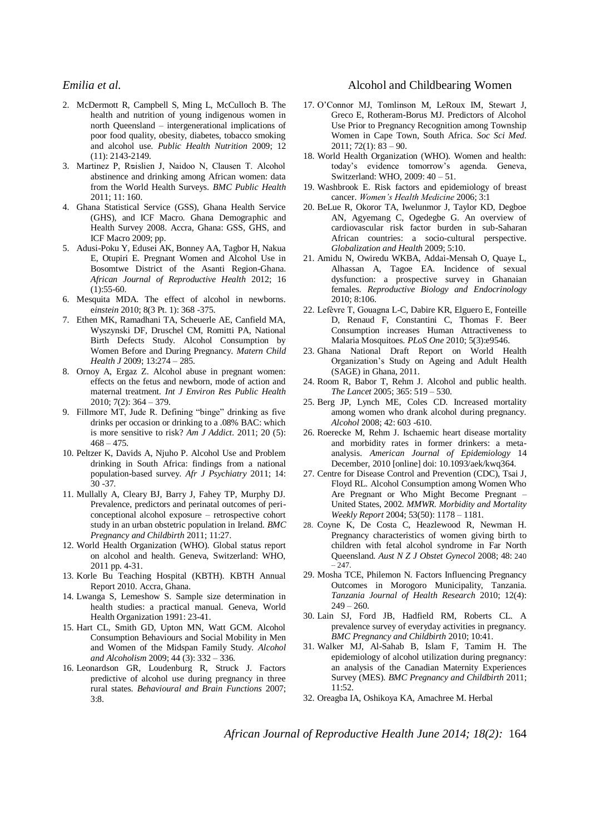- 2. McDermott R, Campbell S, Ming L, McCulloch B. The health and nutrition of young indigenous women in north Queensland – intergenerational implications of poor food quality, obesity, diabetes, tobacco smoking and alcohol use. *Public Health Nutrition* 2009; 12 (11): 2143-2149.
- 3. Martinez P, Rᴓislien J, Naidoo N, Clausen T. Alcohol abstinence and drinking among African women: data from the World Health Surveys. *BMC Public Health* 2011; 11: 160.
- 4. Ghana Statistical Service (GSS), Ghana Health Service (GHS), and ICF Macro. Ghana Demographic and Health Survey 2008. Accra, Ghana: GSS, GHS, and ICF Macro 2009; pp.
- 5. Adusi-Poku Y, Edusei AK, Bonney AA, Tagbor H, Nakua E, Otupiri E. Pregnant Women and Alcohol Use in Bosomtwe District of the Asanti Region-Ghana. *African Journal of Reproductive Health* 2012; 16  $(1):$ 55-60.
- 6. Mesquita MDA. The effect of alcohol in newborns. e*instein* 2010; 8(3 Pt. 1): 368 -375.
- 7. Ethen MK, Ramadhani TA, Scheuerle AE, Canfield MA, Wyszynski DF, Druschel CM, Romitti PA, National Birth Defects Study. Alcohol Consumption by Women Before and During Pregnancy. *Matern Child Health J* 2009; 13:274 – 285.
- 8. Ornoy A, Ergaz Z. Alcohol abuse in pregnant women: effects on the fetus and newborn, mode of action and maternal treatment. *Int J Environ Res Public Health* 2010; 7(2): 364 – 379.
- 9. Fillmore MT, Jude R. Defining "binge" drinking as five drinks per occasion or drinking to a .08% BAC: which is more sensitive to risk? *Am J Addict*. 2011; 20 (5):  $468 - 475$
- 10. Peltzer K, Davids A, Njuho P. Alcohol Use and Problem drinking in South Africa: findings from a national population-based survey. *Afr J Psychiatry* 2011; 14: 30 -37.
- 11. Mullally A, Cleary BJ, Barry J, Fahey TP, Murphy DJ. Prevalence, predictors and perinatal outcomes of periconceptional alcohol exposure – retrospective cohort study in an urban obstetric population in Ireland. *BMC Pregnancy and Childbirth* 2011; 11:27.
- 12. World Health Organization (WHO). Global status report on alcohol and health. Geneva, Switzerland: WHO, 2011 pp. 4-31.
- 13. Korle Bu Teaching Hospital (KBTH). KBTH Annual Report 2010. Accra, Ghana.
- 14. Lwanga S, Lemeshow S. Sample size determination in health studies: a practical manual. Geneva, World Health Organization 1991: 23-41.
- 15. Hart CL, Smith GD, Upton MN, Watt GCM. Alcohol Consumption Behaviours and Social Mobility in Men and Women of the Midspan Family Study. *Alcohol and Alcoholism* 2009; 44 (3): 332 – 336.
- 16. Leonardson GR, Loudenburg R, Struck J. Factors predictive of alcohol use during pregnancy in three rural states. *Behavioural and Brain Functions* 2007; 3:8.

### *Emilia et al.* Alcohol and Childbearing Women

- 17. O'Connor MJ, Tomlinson M, LeRoux IM, Stewart J, Greco E, Rotheram-Borus MJ. Predictors of Alcohol Use Prior to Pregnancy Recognition among Township Women in Cape Town, South Africa. *Soc Sci Med.*  $2011$ ;  $72(1)$ :  $83 - 90$ .
- 18. World Health Organization (WHO). Women and health: today's evidence tomorrow's agenda. Geneva, Switzerland: WHO, 2009: 40 – 51.
- 19. Washbrook E. Risk factors and epidemiology of breast cancer. *Women's Health Medicine* 2006; 3:1
- 20. BeLue R, Okoror TA, Iwelunmor J, Taylor KD, Degboe AN, Agyemang C, Ogedegbe G. An overview of cardiovascular risk factor burden in sub-Saharan African countries: a socio-cultural perspective. *Globalization and Health* 2009; 5:10.
- 21. Amidu N, Owiredu WKBA, Addai-Mensah O, Quaye L, Alhassan A, Tagoe EA. Incidence of sexual dysfunction: a prospective survey in Ghanaian females. *Reproductive Biology and Endocrinology* 2010; 8:106.
- 22. Lefѐvre T, Gouagna L-C, Dabire KR, Elguero E, Fonteille D, Renaud F, Constantini C, Thomas F. Beer Consumption increases Human Attractiveness to Malaria Mosquitoes. *PLoS One* 2010; 5(3):e9546.
- 23. Ghana National Draft Report on World Health Organization's Study on Ageing and Adult Health (SAGE) in Ghana, 2011.
- 24. Room R, Babor T, Rehm J. Alcohol and public health. *The Lancet* 2005; 365: 519 – 530.
- 25. Berg JP, Lynch ME, Coles CD. Increased mortality among women who drank alcohol during pregnancy. *Alcohol* 2008; 42: 603 -610.
- 26. Roerecke M, Rehm J. Ischaemic heart disease mortality and morbidity rates in former drinkers: a metaanalysis. *American Journal of Epidemiology* 14 December, 2010 [online] doi: 10.1093/aek/kwq364.
- 27. Centre for Disease Control and Prevention (CDC), Tsai J, Floyd RL. Alcohol Consumption among Women Who Are Pregnant or Who Might Become Pregnant – United States, 2002. *MMWR. Morbidity and Mortality Weekly Report* 2004; 53(50): 1178 – 1181.
- 28. Coyne K, De Costa C, Heazlewood R, Newman H. Pregnancy characteristics of women giving birth to children with fetal alcohol syndrome in Far North Queensland. *Aust N Z J Obstet Gynecol* 2008; 48: 240  $-247.$
- 29. Mosha TCE, Philemon N. Factors Influencing Pregnancy Outcomes in Morogoro Municipality, Tanzania. *Tanzania Journal of Health Research* 2010; 12(4):  $249 - 260.$
- 30. Lain SJ, Ford JB, Hadfield RM, Roberts CL. A prevalence survey of everyday activities in pregnancy. *BMC Pregnancy and Childbirth* 2010; 10:41.
- 31. Walker MJ, Al-Sahab B, Islam F, Tamim H. The epidemiology of alcohol utilization during pregnancy: an analysis of the Canadian Maternity Experiences Survey (MES). *BMC Pregnancy and Childbirth* 2011; 11:52.
- 32. Oreagba IA, Oshikoya KA, Amachree M. Herbal